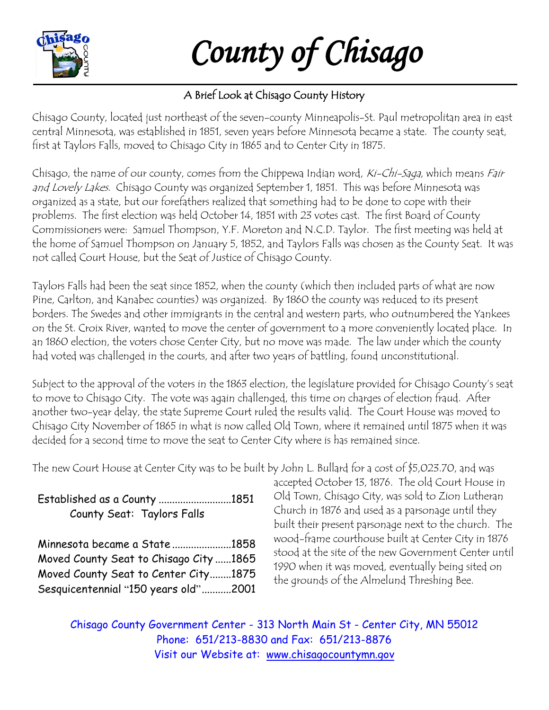

*County of Chisago* 

## A Brief Look at Chisago County History

Chisago County, located just northeast of the seven-county Minneapolis-St. Paul metropolitan area in east central Minnesota, was established in 1851, seven years before Minnesota became a state. The county seat, first at Taylors Falls, moved to Chisago City in 1865 and to Center City in 1875.

Chisago, the name of our county, comes from the Chippewa Indian word, Ki-Chi-Saga, which means Fair and Lovely Lakes. Chisago County was organized September 1, 1851. This was before Minnesota was organized as a state, but our forefathers realized that something had to be done to cope with their problems. The first election was held October 14, 1851 with 23 votes cast. The first Board of County Commissioners were: Samuel Thompson, Y.F. Moreton and N.C.D. Taylor. The first meeting was held at the home of Samuel Thompson on January 5, 1852, and Taylors Falls was chosen as the County Seat. It was not called Court House, but the Seat of Justice of Chisago County.

Taylors Falls had been the seat since 1852, when the county (which then included parts of what are now Pine, Carlton, and Kanabec counties) was organized. By 1860 the county was reduced to its present borders. The Swedes and other immigrants in the central and western parts, who outnumbered the Yankees on the St. Croix River, wanted to move the center of government to a more conveniently located place. In an 1860 election, the voters chose Center City, but no move was made. The law under which the county had voted was challenged in the courts, and after two years of battling, found unconstitutional.

Subject to the approval of the voters in the 1863 election, the legislature provided for Chisago County's seat to move to Chisago City. The vote was again challenged, this time on charges of election fraud. After another two-year delay, the state Supreme Court ruled the results valid. The Court House was moved to Chisago City November of 1865 in what is now called Old Town, where it remained until 1875 when it was decided for a second time to move the seat to Center City where is has remained since.

The new Court House at Center City was to be built by John L. Bullard for a cost of \$5,023.70, and was

| Established as a County 1851           |  |
|----------------------------------------|--|
| County Seat: Taylors Falls             |  |
|                                        |  |
| Minnesota became a State 1858          |  |
| Moved County Seat to Chisago City 1865 |  |
| Moved County Seat to Center City1875   |  |
| Sesquicentennial "150 years old"2001   |  |

accepted October 13, 1876. The old Court House in Old Town, Chisago City, was sold to Zion Lutheran Church in 1876 and used as a parsonage until they built their present parsonage next to the church. The wood-frame courthouse built at Center City in 1876 stood at the site of the new Government Center until 1990 when it was moved, eventually being sited on the grounds of the Almelund Threshing Bee.

Chisago County Government Center - 313 North Main St - Center City, MN 55012 Phone: 651/213-8830 and Fax: 651/213-8876 Visit our Website at: [www.chisagocountymn.gov](http://www.chisagocountymn.gov/)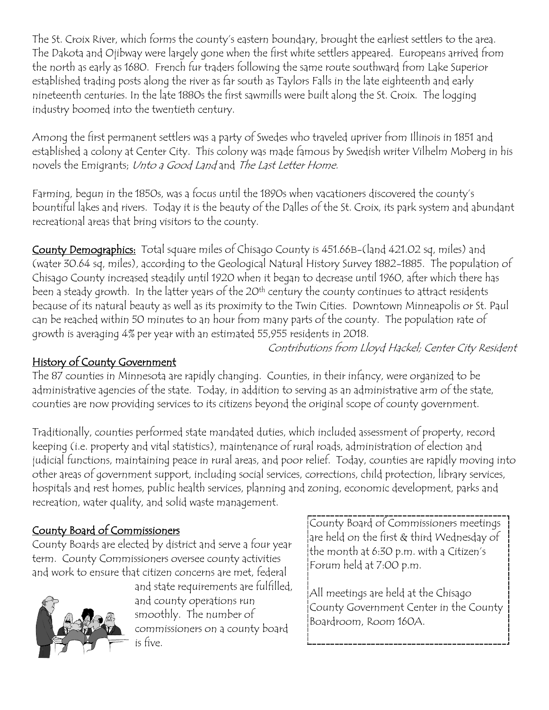The St. Croix River, which forms the county's eastern boundary, brought the earliest settlers to the area. The Dakota and Ojibway were largely gone when the first white settlers appeared. Europeans arrived from the north as early as 1680. French fur traders following the same route southward from Lake Superior established trading posts along the river as far south as Taylors Falls in the late eighteenth and early nineteenth centuries. In the late 1880s the first sawmills were built along the St. Croix. The logging industry boomed into the twentieth century.

Among the first permanent settlers was a party of Swedes who traveled upriver from Illinois in 1851 and established a colony at Center City. This colony was made famous by Swedish writer Vilhelm Moberg in his novels the Emigrants; Unto a Good Land and The Last Letter Home.

Farming, begun in the 1850s, was a focus until the 1890s when vacationers discovered the county's bountiful lakes and rivers. Today it is the beauty of the Dalles of the St. Croix, its park system and abundant recreational areas that bring visitors to the county.

County Demographics: Total square miles of Chisago County is 451.66B-(land 421.02 sq, miles) and (water 30.64 sq, miles), according to the Geological Natural History Survey 1882-1885. The population of Chisago County increased steadily until 1920 when it began to decrease until 1960, after which there has been a steady growth. In the latter years of the 20<sup>th</sup> century the county continues to attract residents because of its natural beauty as well as its proximity to the Twin Cities. Downtown Minneapolis or St. Paul can be reached within 50 minutes to an hour from many parts of the county. The population rate of growth is averaging 4% per year with an estimated 55,955 residents in 2018.

Contributions from Lloyd Hackel; Center City Resident

## History of County Government

The 87 counties in Minnesota are rapidly changing. Counties, in their infancy, were organized to be administrative agencies of the state. Today, in addition to serving as an administrative arm of the state, counties are now providing services to its citizens beyond the original scope of county government.

Traditionally, counties performed state mandated duties, which included assessment of property, record keeping (i.e. property and vital statistics), maintenance of rural roads, administration of election and judicial functions, maintaining peace in rural areas, and poor relief. Today, counties are rapidly moving into other areas of government support, including social services, corrections, child protection, library services, hospitals and rest homes, public health services, planning and zoning, economic development, parks and recreation, water quality, and solid waste management.

## County Board of Commissioners

County Boards are elected by district and serve a four year term. County Commissioners oversee county activities and work to ensure that citizen concerns are met, federal



and state requirements are fulfilled, and county operations run smoothly. The number of commissioners on a county board is five.

County Board of Commissioners meetings are held on the first & third Wednesday of the month at 6:30 p.m. with a Citizen's Forum held at 7:00 p.m.

All meetings are held at the Chisago County Government Center in the County Boardroom, Room 160A.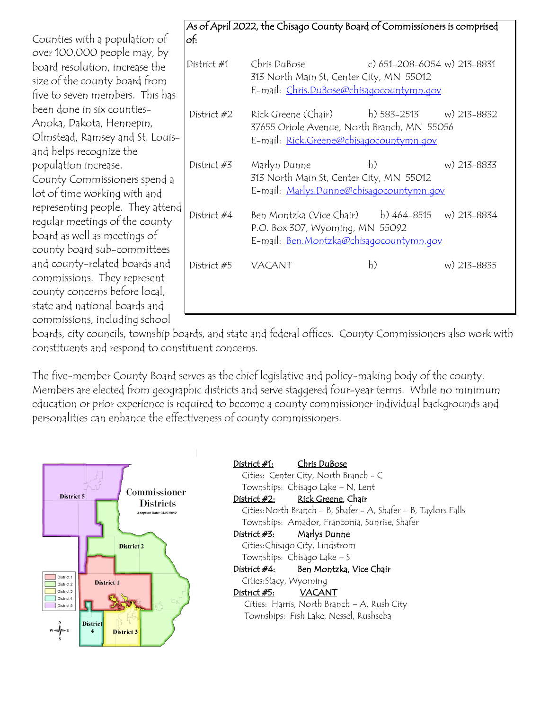board resolution, increase the size of the county board from five to seven members. This has been done in six counties-Anoka, Dakota, Hennepin, Olmstead, Ramsey and St. Louisand helps recognize the population increase. County Commissioners spend a lot of time working with and representing people. They attend regular meetings of the county board as well as meetings of county board sub-committees and county-related boards and commissions. They represent county concerns before local, state and national boards and commissions, including school Counties with a population of over 100,000 people may, by

| of:         | As of April 2022, the Chisago County Board of Commissioners is comprised                                                                     |                             |             |
|-------------|----------------------------------------------------------------------------------------------------------------------------------------------|-----------------------------|-------------|
| District #1 | Chris DuBose<br>313 North Main St, Center City, MN 55012<br>E-mail: Chris.DuBose@chisagocountymn.gov                                         | c) 651-208-6054 w) 213-8831 |             |
| District #2 | Rick Greene (Chair) h) 583-2513 w) 213-8832<br>37655 Oriole Avenue, North Branch, MN 55056<br>E-mail: <u>Rick.Greene@chisagocountymn.gov</u> |                             |             |
| District #3 | Marlyn Dunne<br>313 North Main St, Center City, MN 55012<br>E-mail: Marlys.Dunne@chisagocountymn.gov                                         | h)                          | w) 213-8833 |
| District #4 | Ben Montzka (Vice Chair) h) 464-8515 w) 213-8834<br>P.O. Box 307, Wyoming, MN 55092<br>E-mail: Ben. Montzka@chisagocountymn.gov              |                             |             |
| District #5 | VACANT                                                                                                                                       | h)                          | w) 213-8835 |

boards, city councils, township boards, and state and federal offices. County Commissioners also work with constituents and respond to constituent concerns.

The five-member County Board serves as the chief legislative and policy-making body of the county. Members are elected from geographic districts and serve staggered four-year terms. While no minimum education or prior experience is required to become a county commissioner individual backgrounds and personalities can enhance the effectiveness of county commissioners.



District #1: Chris DuBose Cities: Center City, North Branch - C Townships: Chisago Lake – N, Lent District #2: Rick Greene, Chair Cities:North Branch – B, Shafer - A, Shafer – B, Taylors Falls Townships: Amador, Franconia, Sunrise, Shafer District #3: Marlys Dunne Cities:Chisago City, Lindstrom Townships: Chisago Lake – S District #4: Ben Montzka, Vice Chair Cities:Stacy, Wyoming District #5: VACANT Cities: Harris, North Branch – A, Rush City Townships: Fish Lake, Nessel, Rushseba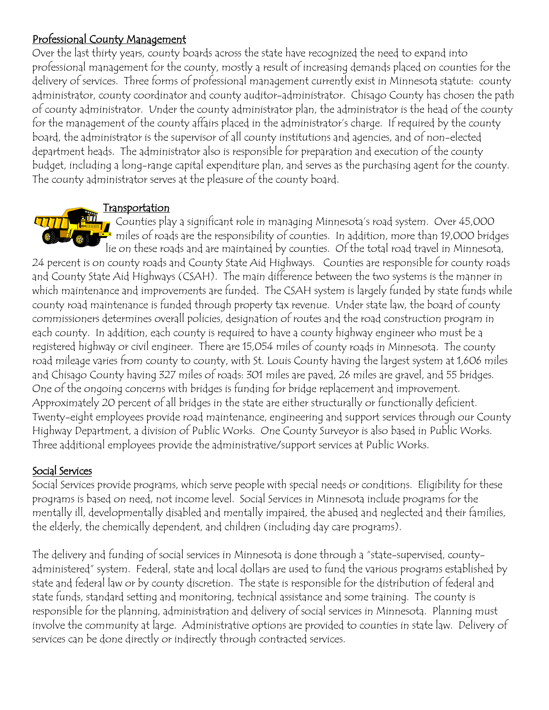#### Professional County Management

Over the last thirty years, county boards across the state have recognized the need to expand into professional management for the county, mostly a result of increasing demands placed on counties for the delivery of services. Three forms of professional management currently exist in Minnesota statute: county administrator, county coordinator and county auditor-administrator. Chisago County has chosen the path of county administrator. Under the county administrator plan, the administrator is the head of the county for the management of the county affairs placed in the administrator's charge. If required by the county board, the administrator is the supervisor of all county institutions and agencies, and of non-elected department heads. The administrator also is responsible for preparation and execution of the county budget, including a long-range capital expenditure plan, and serves as the purchasing agent for the county. The county administrator serves at the pleasure of the county board.

#### Transportation

**TTTTT** Counties play a significant role in managing Minnesota's road system. Over 45,000  $\mathcal{U}$  miles of roads are the responsibility of counties. In addition, more than 19,000 bridges lie on these roads and are maintained by counties. Of the total road travel in Minnesota, 24 percent is on county roads and County State Aid Highways. Counties are responsible for county roads and County State Aid Highways (CSAH). The main difference between the two systems is the manner in which maintenance and improvements are funded. The CSAH system is largely funded by state funds while county road maintenance is funded through property tax revenue. Under state law, the board of county commissioners determines overall policies, designation of routes and the road construction program in each county. In addition, each county is required to have a county highway engineer who must be a registered highway or civil engineer. There are 15,054 miles of county roads in Minnesota. The county road mileage varies from county to county, with St. Louis County having the largest system at 1,606 miles and Chisago County having 327 miles of roads: 301 miles are paved, 26 miles are gravel, and 55 bridges. One of the ongoing concerns with bridges is funding for bridge replacement and improvement. Approximately 20 percent of all bridges in the state are either structurally or functionally deficient. Twenty-eight employees provide road maintenance, engineering and support services through our County Highway Department, a division of Public Works. One County Surveyor is also based in Public Works. Three additional employees provide the administrative/support services at Public Works.

### Social Services

Social Services provide programs, which serve people with special needs or conditions. Eligibility for these programs is based on need, not income level. Social Services in Minnesota include programs for the mentally ill, developmentally disabled and mentally impaired, the abused and neglected and their families, the elderly, the chemically dependent, and children (including day care programs).

The delivery and funding of social services in Minnesota is done through a "state-supervised, countyadministered" system. Federal, state and local dollars are used to fund the various programs established by state and federal law or by county discretion. The state is responsible for the distribution of federal and state funds, standard setting and monitoring, technical assistance and some training. The county is responsible for the planning, administration and delivery of social services in Minnesota. Planning must involve the community at large. Administrative options are provided to counties in state law. Delivery of services can be done directly or indirectly through contracted services.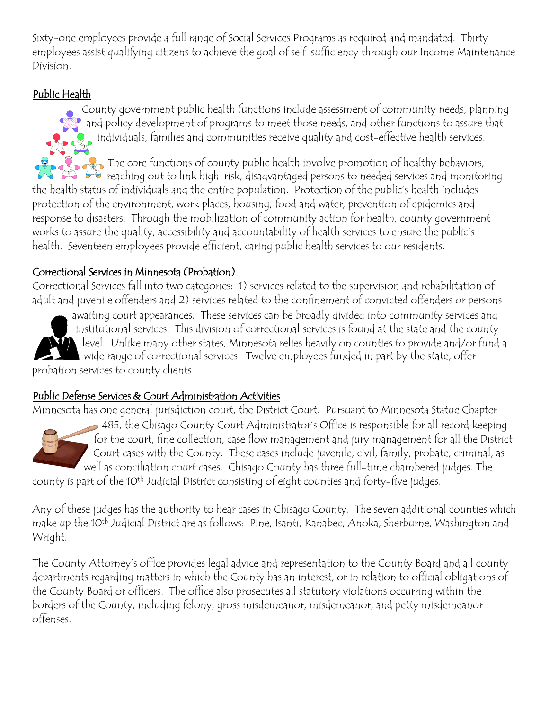Sixty-one employees provide a full range of Social Services Programs as required and mandated. Thirty employees assist qualifying citizens to achieve the goal of self-sufficiency through our Income Maintenance Division.

## Public Health

County government public health functions include assessment of community needs, planning and policy development of programs to meet those needs, and other functions to assure that individuals, families and communities receive quality and cost-effective health services.

The core functions of county public health involve promotion of healthy behaviors, reaching out to link high-risk, disadvantaged persons to needed services and monitoring the health status of individuals and the entire population. Protection of the public's health includes protection of the environment, work places, housing, food and water, prevention of epidemics and response to disasters. Through the mobilization of community action for health, county government works to assure the quality, accessibility and accountability of health services to ensure the public's health. Seventeen employees provide efficient, caring public health services to our residents.

### Correctional Services in Minnesota (Probation)

Correctional Services fall into two categories: 1) services related to the supervision and rehabilitation of adult and juvenile offenders and 2) services related to the confinement of convicted offenders or persons

awaiting court appearances. These services can be broadly divided into community services and  $\overline{\phantom{a}}$  institutional services. This division of correctional services is found at the state and the county level. Unlike many other states, Minnesota relies heavily on counties to provide and/or fund a wide range of correctional services. Twelve employees funded in part by the state, offer probation services to county clients.

### Public Defense Services & Court Administration Activities

Minnesota has one general jurisdiction court, the District Court. Pursuant to Minnesota Statue Chapter

485, the Chisago County Court Administrator's Office is responsible for all record keeping for the court, fine collection, case flow management and jury management for all the District Court cases with the County. These cases include juvenile, civil, family, probate, criminal, as well as conciliation court cases. Chisago County has three full-time chambered judges. The

county is part of the 10th Judicial District consisting of eight counties and forty-five judges.

Any of these judges has the authority to hear cases in Chisago County. The seven additional counties which make up the 10th Judicial District are as follows: Pine, Isanti, Kanabec, Anoka, Sherburne, Washington and Wright.

The County Attorney's office provides legal advice and representation to the County Board and all county departments regarding matters in which the County has an interest, or in relation to official obligations of the County Board or officers. The office also prosecutes all statutory violations occurring within the borders of the County, including felony, gross misdemeanor, misdemeanor, and petty misdemeanor offenses.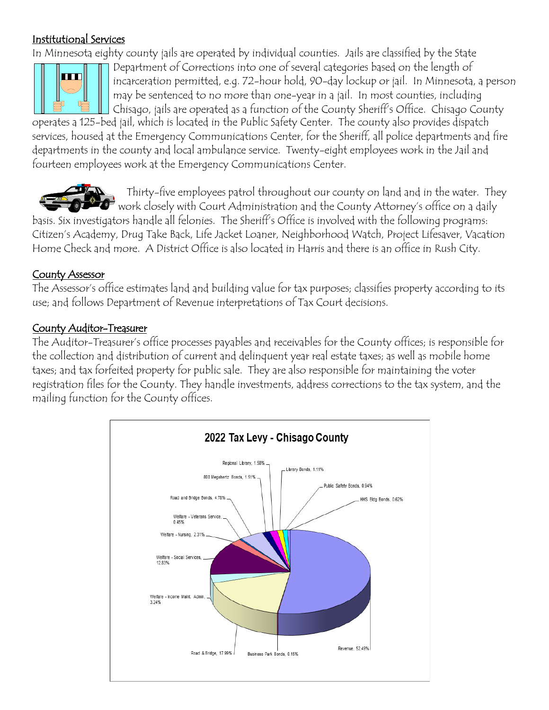### Institutional Services

In Minnesota eighty county jails are operated by individual counties. Jails are classified by the State



Department of Corrections into one of several categories based on the length of incarceration permitted, e.g. 72-hour hold, 90-day lockup or jail. In Minnesota, a person may be sentenced to no more than one-year in a jail. In most counties, including Chisago, jails are operated as a function of the County Sheriff's Office. Chisago County

operates a 125-bed jail, which is located in the Public Safety Center. The county also provides dispatch services, housed at the Emergency Communications Center, for the Sheriff, all police departments and fire departments in the county and local ambulance service. Twenty-eight employees work in the Jail and fourteen employees work at the Emergency Communications Center.



Thirty-five employees patrol throughout our county on land and in the water. They  $\Box$  work closely with Court Administration and the County Attorney's office on a daily basis. Six investigators handle all felonies. The Sheriff's Office is involved with the following programs:

Citizen's Academy, Drug Take Back, Life Jacket Loaner, Neighborhood Watch, Project Lifesaver, Vacation Home Check and more. A District Office is also located in Harris and there is an office in Rush City.

## County Assessor

The Assessor's office estimates land and building value for tax purposes; classifies property according to its use; and follows Department of Revenue interpretations of Tax Court decisions.

## County Auditor-Treasurer

The Auditor-Treasurer's office processes payables and receivables for the County offices; is responsible for the collection and distribution of current and delinquent year real estate taxes; as well as mobile home taxes; and tax forfeited property for public sale. They are also responsible for maintaining the voter registration files for the County. They handle investments, address corrections to the tax system, and the mailing function for the County offices.

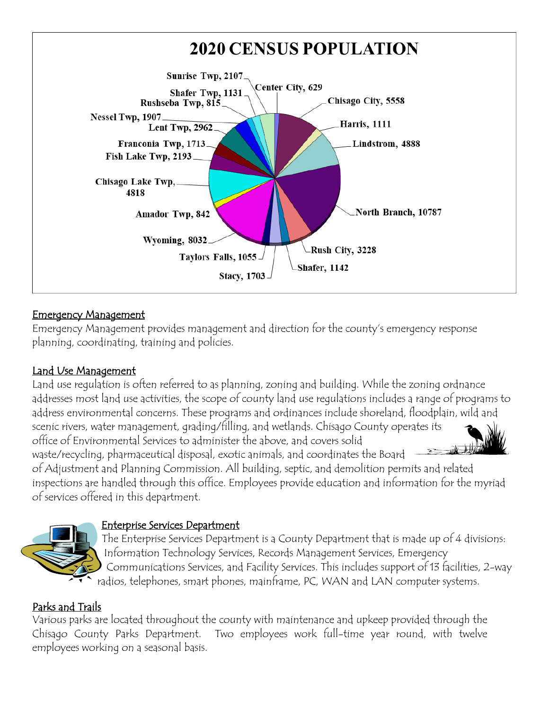#### **2020 CENSUS POPULATION** Sunrise Twp, 2107. Center City, 629 Shafer Twp, 1131 Chisago City, 5558 Rushseba Twp, 815 Nessel Twp, 1907. Harris, 1111 Lent Twp, 2962 Franconia Twp, 1713. Lindstrom, 4888 Fish Lake Twp, 2193 Chisago Lake Twp, 4818 North Branch, 10787 Amador Twp, 842 Wyoming, 8032 Rush City, 3228 Taylors Falls, 1055 Shafer, 1142 **Stacy**, 1703

## Emergency Management

Emergency Management provides management and direction for the county's emergency response planning, coordinating, training and policies.

## Land Use Management

Land use regulation is often referred to as planning, zoning and building. While the zoning ordnance addresses most land use activities, the scope of county land use regulations includes a range of programs to address environmental concerns. These programs and ordinances include shoreland, floodplain, wild and scenic rivers, water management, grading/filling, and wetlands. Chisago County operates its office of Environmental Services to administer the above, and covers solid waste/recycling, pharmaceutical disposal, exotic animals, and coordinates the Board of Adjustment and Planning Commission. All building, septic, and demolition permits and related inspections are handled through this office. Employees provide education and information for the myriad of services offered in this department.



### Enterprise Services Department

The Enterprise Services Department is a County Department that is made up of 4 divisions: Information Technology Services, Records Management Services, Emergency Communications Services, and Facility Services. This includes support of 13 facilities, 2-way radios, telephones, smart phones, mainframe, PC, WAN and LAN computer systems.

## Parks and Trails

Various parks are located throughout the county with maintenance and upkeep provided through the Chisago County Parks Department. Two employees work full-time year round, with twelve employees working on a seasonal basis.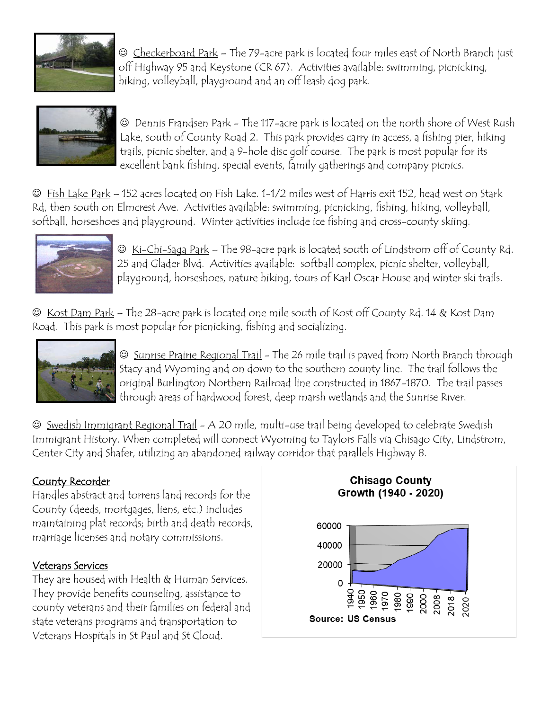

 Checkerboard Park – The 79-acre park is located four miles east of North Branch just off Highway 95 and Keystone (CR 67). Activities available: swimming, picnicking, hiking, volleyball, playground and an off leash dog park.



 Dennis Frandsen Park - The 117-acre park is located on the north shore of West Rush Lake, south of County Road 2. This park provides carry in access, a fishing pier, hiking trails, picnic shelter, and a 9-hole disc golf course. The park is most popular for its excellent bank fishing, special events, family gatherings and company picnics.

 Fish Lake Park – 152 acres located on Fish Lake. 1-1/2 miles west of Harris exit 152, head west on Stark Rd, then south on Elmcrest Ave. Activities available: swimming, picnicking, fishing, hiking, volleyball, softball, horseshoes and playground. Winter activities include ice fishing and cross-county skiing.



 $\odot$  Ki-Chi-Saga Park – The 98-acre park is located south of Lindstrom off of County Rd. 25 and Glader Blvd. Activities available: softball complex, picnic shelter, volleyball, playground, horseshoes, nature hiking, tours of Karl Oscar House and winter ski trails.

 $\odot$  Kost Dam Park – The 28-acre park is located one mile south of Kost off County Rd. 14 & Kost Dam Road. This park is most popular for picnicking, fishing and socializing.



 Sunrise Prairie Regional Trail - The 26 mile trail is paved from North Branch through Stacy and Wyoming and on down to the southern county line. The trail follows the original Burlington Northern Railroad line constructed in 1867-1870. The trail passes through areas of hardwood forest, deep marsh wetlands and the Sunrise River.

 Swedish Immigrant Regional Trail - A 20 mile, multi-use trail being developed to celebrate Swedish Immigrant History. When completed will connect Wyoming to Taylors Falls via Chisago City, Lindstrom, Center City and Shafer, utilizing an abandoned railway corridor that parallels Highway 8.

### County Recorder

Handles abstract and torrens land records for the County (deeds, mortgages, liens, etc.) includes maintaining plat records; birth and death records, marriage licenses and notary commissions.

#### Veterans Services

They are housed with Health & Human Services. They provide benefits counseling, assistance to county veterans and their families on federal and state veterans programs and transportation to Veterans Hospitals in St Paul and St Cloud.

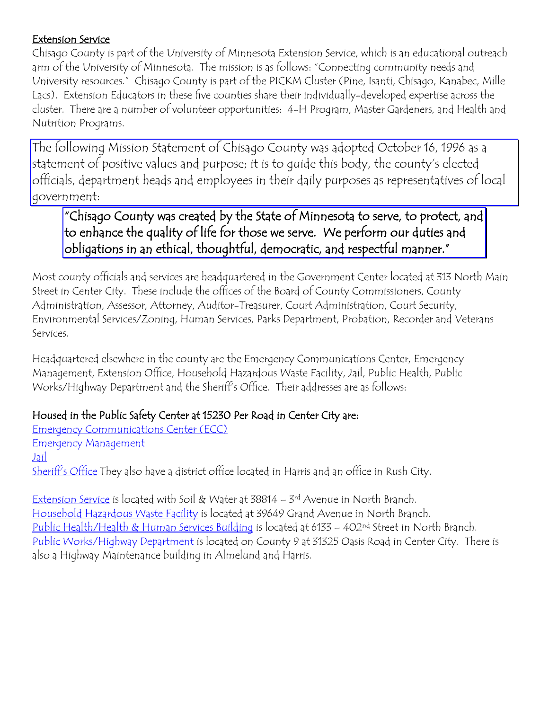#### Extension Service

Chisago County is part of the University of Minnesota Extension Service, which is an educational outreach arm of the University of Minnesota. The mission is as follows: "Connecting community needs and University resources." Chisago County is part of the PICKM Cluster (Pine, Isanti, Chisago, Kanabec, Mille Lacs). Extension Educators in these five counties share their individually-developed expertise across the cluster. There are a number of volunteer opportunities: 4-H Program, Master Gardeners, and Health and Nutrition Programs.

The following Mission Statement of Chisago County was adopted October 16, 1996 as a statement of positive values and purpose; it is to guide this body, the county's elected officials, department heads and employees in their daily purposes as representatives of local government:

"Chisago County was created by the State of Minnesota to serve, to protect, and to enhance the quality of life for those we serve. We perform our duties and obligations in an ethical, thoughtful, democratic, and respectful manner."

Most county officials and services are headquartered in the Government Center located at 313 North Main Street in Center City. These include the offices of the Board of County Commissioners, County Administration, Assessor, Attorney, Auditor-Treasurer, Court Administration, Court Security, Environmental Services/Zoning, Human Services, Parks Department, Probation, Recorder and Veterans Services.

Headquartered elsewhere in the county are the Emergency Communications Center, Emergency Management, Extension Office, Household Hazardous Waste Facility, Jail, Public Health, Public Works/Highway Department and the Sheriff's Office. Their addresses are as follows:

## Housed in the Public Safety Center at 15230 Per Road in Center City are:

Emergency Communications Center (ECC) Emergency Management Jail Sheriff's Office They also have a district office located in Harris and an office in Rush City.

Extension Service is located with Soil & Water at 38814 – 3rd Avenue in North Branch. Household Hazardous Waste Facility is located at 39649 Grand Avenue in North Branch. Public Health/Health & Human Services Building is located at 6133 – 402<sup>nd</sup> Street in North Branch. Public Works/Highway Department is located on County 9 at 31325 Oasis Road in Center City. There is also a Highway Maintenance building in Almelund and Harris.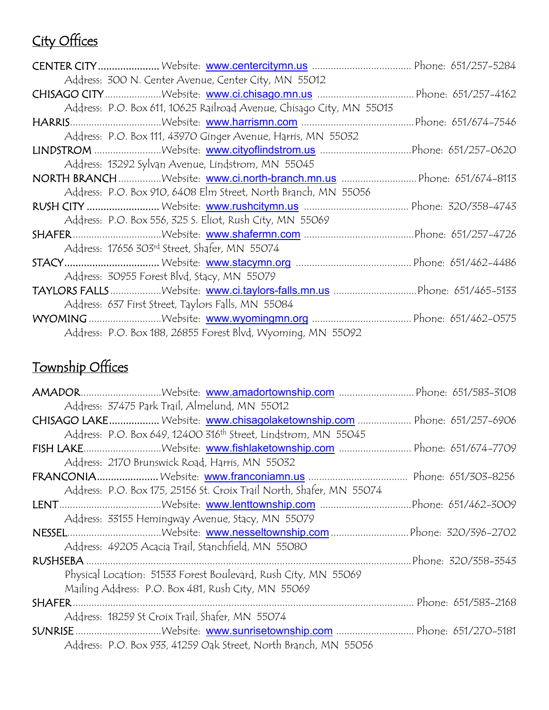# City Offices

| Address: 300 N. Center Avenue, Center City, MN 55012                  |  |
|-----------------------------------------------------------------------|--|
|                                                                       |  |
| Address: P.O. Box 611, 10625 Railroad Avenue, Chisago City, MN 55013  |  |
|                                                                       |  |
| Address: P.O. Box 111, 43970 Ginger Avenue, Harris, MN 55032          |  |
|                                                                       |  |
| Address: 13292 Sylvan Avenue, Lindstrom, MN 55045                     |  |
| NORTH BRANCH Website: www.ci.north-branch.mn.us  Phone: 651/674-8113  |  |
| Address: P.O. Box 910, 6408 Elm Street, North Branch, MN 55056        |  |
|                                                                       |  |
| Address: P.O. Box 556, 325 S. Eliot, Rush City, MN 55069              |  |
|                                                                       |  |
| Address: 17656 303rd Street, Shafer, MN 55074                         |  |
|                                                                       |  |
| Address: 30955 Forest Blvd, Stacy, MN 55079                           |  |
| TAYLORS FALLS Website: www.ci.taylors-falls.mn.us Phone: 651/465-5133 |  |
| Address: 637 First Street, Taylors Falls, MN 55084                    |  |
|                                                                       |  |
| Address: P.O. Box 188, 26855 Forest Blvd, Wyoming, MN 55092           |  |
|                                                                       |  |

## Township Offices

| AMADORWebsite: www.amadortownship.com  Phone: 651/583-3108                 |  |
|----------------------------------------------------------------------------|--|
| Address: 37475 Park Trail, Almelund, MN 55012                              |  |
| CHISAGO LAKE Website: www.chisagolaketownship.com  Phone: 651/257-6906     |  |
| Address: P.O. Box 649, 12400 316 <sup>th</sup> Street, Lindstrom, MN 55045 |  |
| FISH LAKEWebsite: www.fishlaketownship.com  Phone: 651/674-7709            |  |
| Address: 2170 Brunswick Road, Harris, MN 55032                             |  |
|                                                                            |  |
| Address: P.O. Box 175, 25156 St. Croix Trail North, Shafer, MN 55074       |  |
|                                                                            |  |
| Address: 33155 Hemingway Avenue, Stacy, MN 55079                           |  |
|                                                                            |  |
| Address: 49205 Acacia Trail, Stanchfield, MN 55080                         |  |
|                                                                            |  |
| Physical Location: 51533 Forest Boulevard, Rush City, MN 55069             |  |
| Mailing Address: P.O. Box 481, Rush City, MN 55069                         |  |
| Phone: 651/583-2168                                                        |  |
| Address: 18259 St Croix Trail, Shafer, MN 55074                            |  |
| SUNRISE Website: www.sunrisetownship.com  Phone: 651/270-5181              |  |
| Address: P.O. Box 933, 41259 Oak Street, North Branch, MN 55056            |  |